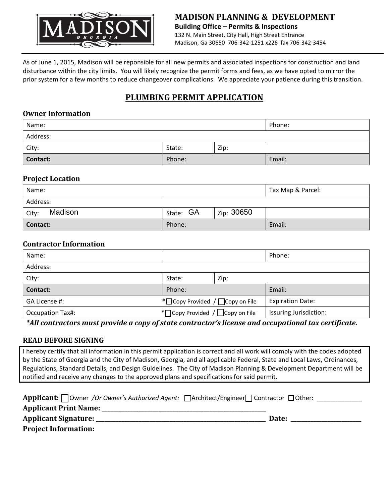

As of June 1, 2015, Madison will be reponsible for all new permits and associated inspections for construction and land disturbance within the city limits. You will likely recognize the permit forms and fees, as we have opted to mirror the prior system for a few months to reduce changeover complications. We appreciate your patience during this transition.

# **PLUMBING PERMIT APPLICATION**

#### **Owner Information**

| Name:           |        |      | Phone: |
|-----------------|--------|------|--------|
| Address:        |        |      |        |
| City:           | State: | Zip: |        |
| <b>Contact:</b> | Phone: |      | Email: |

#### **Project Location**

| Name:            |           |            | Tax Map & Parcel: |
|------------------|-----------|------------|-------------------|
| Address:         |           |            |                   |
| Madison<br>City: | State: GA | Zip: 30650 |                   |
| Contact:         | Phone:    |            | Email:            |

### **Contractor Information**

| Name:                   |                                   |      | Phone:                  |
|-------------------------|-----------------------------------|------|-------------------------|
| Address:                |                                   |      |                         |
| City:                   | State:                            | Zip: |                         |
| Contact:                | Phone:                            |      | Email:                  |
| GA License #:           | *□ Copy Provided / □ Copy on File |      | <b>Expiration Date:</b> |
| <b>Occupation Tax#:</b> | * Copy Provided / Copy on File    |      | Issuring Jurisdiction:  |

*\*All contractors must provide a copy of state contractor's license and occupational tax certificate.*

## **READ BEFORE SIGNING**

I hereby certify that all information in this permit application is correct and all work will comply with the codes adopted by the State of Georgia and the City of Madison, Georgia, and all applicable Federal, State and Local Laws, Ordinances, Regulations, Standard Details, and Design Guidelines. The City of Madison Planning & Development Department will be notified and receive any changes to the approved plans and specifications for said permit.

| <b>Applicant:</b> Owner /Or Owner's Authorized Agent: $\Box$ Architect/Engineer $\Box$ Contractor $\Box$ Other: |       |
|-----------------------------------------------------------------------------------------------------------------|-------|
| <b>Applicant Print Name:</b>                                                                                    |       |
| <b>Applicant Signature:</b>                                                                                     | Date: |
| <b>Project Information:</b>                                                                                     |       |